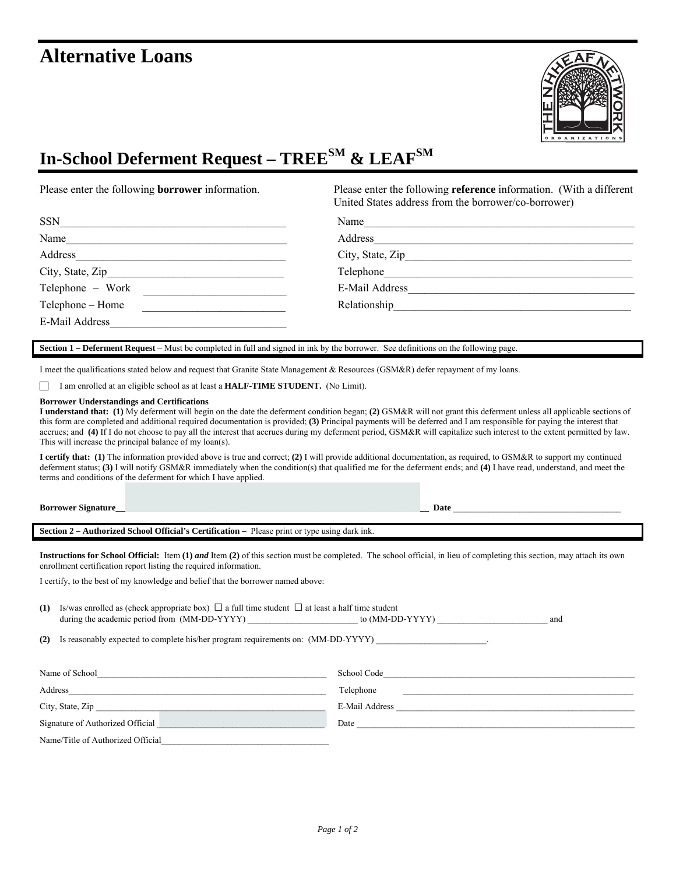# **Alternative Loans**



# **In-School Deferment Request – TREESM & LEAFSM**

Please enter the following **borrower** information. Please enter the following **reference** information. (With a different United States address from the borrower/co-borrower)

| <b>SSN</b>       | Name             |
|------------------|------------------|
| Name             | Address          |
| Address          | City, State, Zip |
| City, State, Zip | Telephone        |
| Telephone - Work | E-Mail Address   |
| Telephone – Home | Relationship     |
| E-Mail Address   |                  |

**Section 1 – Deferment Request** – Must be completed in full and signed in ink by the borrower. See definitions on the following page.

I meet the qualifications stated below and request that Granite State Management & Resources (GSM&R) defer repayment of my loans.

F I am enrolled at an eligible school as at least a **HALF-TIME STUDENT.** (No Limit).

#### **Borrower Understandings and Certifications**

**I understand that: (1)** My deferment will begin on the date the deferment condition began; **(2)** GSM&R will not grant this deferment unless all applicable sections of this form are completed and additional required documentation is provided; **(3)** Principal payments will be deferred and I am responsible for paying the interest that accrues; and **(4)** If I do not choose to pay all the interest that accrues during my deferment period, GSM&R will capitalize such interest to the extent permitted by law. This will increase the principal balance of my loan(s).

**I certify that: (1)** The information provided above is true and correct; **(2)** I will provide additional documentation, as required, to GSM&R to support my continued deferment status; **(3)** I will notify GSM&R immediately when the condition(s) that qualified me for the deferment ends; and **(4)** I have read, understand, and meet the terms and conditions of the deferment for which I have applied.

| <b>Borrower Signature</b><br>. . | Date |  |
|----------------------------------|------|--|
|                                  |      |  |

**Section 2 – Authorized School Official's Certification –** Please print or type using dark ink.

**Instructions for School Official:** Item (1) *and* Item (2) of this section must be completed. The school official, in lieu of completing this section, may attach its own enrollment certification report listing the required information.

I certify, to the best of my knowledge and belief that the borrower named above:

| (1) | Is/was enrolled as (check appropriate box) $\Box$ a full time student $\Box$ at least a half time student                                                                                                                                                                              |                | and |
|-----|----------------------------------------------------------------------------------------------------------------------------------------------------------------------------------------------------------------------------------------------------------------------------------------|----------------|-----|
| (2) | Is reasonably expected to complete his/her program requirements on: (MM-DD-YYYY)                                                                                                                                                                                                       |                |     |
|     |                                                                                                                                                                                                                                                                                        |                |     |
|     | Name of School <b>Example 20</b> School <b>Example 20</b> School <b>Example 20</b> School <b>Example 20</b> School <b>Example 20</b> School <b>Example 20</b> School <b>Example 20</b> School <b>Example 20</b> School <b>Example 20</b> School <b>Example 20</b> School <b>Exampl</b> |                |     |
|     |                                                                                                                                                                                                                                                                                        | Telephone      |     |
|     | City, State, Zip                                                                                                                                                                                                                                                                       | E-Mail Address |     |
|     | Signature of Authorized Official                                                                                                                                                                                                                                                       |                |     |
|     | Name/Title of Authorized Official                                                                                                                                                                                                                                                      |                |     |